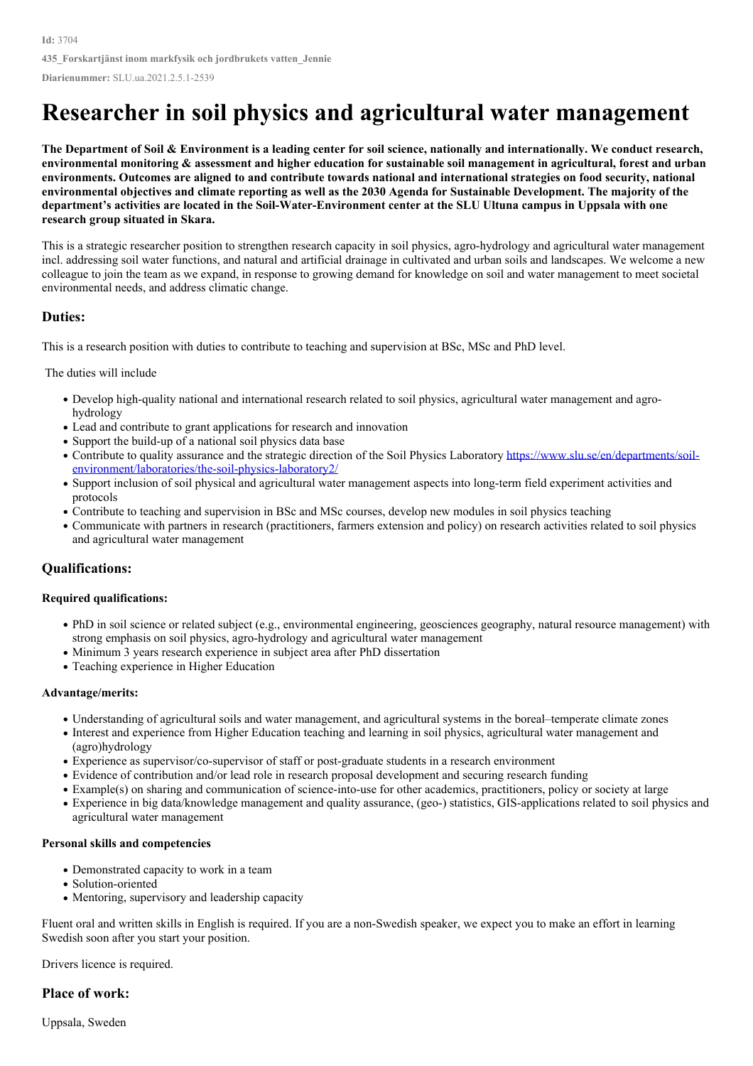# **Researcher in soil physics and agricultural water management**

The Department of Soil & Environment is a leading center for soil science, nationally and internationally. We conduct research, environmental monitoring & assessment and higher education for sustainable soil management in agricultural, forest and urban environments. Outcomes are aligned to and contribute towards national and international strategies on food security, national environmental objectives and climate reporting as well as the 2030 Agenda for Sustainable Development. The majority of the department's activities are located in the Soil-Water-Environment center at the SLU Ultuna campus in Uppsala with one **research group situated in Skara.**

This is a strategic researcher position to strengthen research capacity in soil physics, agro-hydrology and agricultural water management incl. addressing soil water functions, and natural and artificial drainage in cultivated and urban soils and landscapes. We welcome a new colleague to join the team as we expand, in response to growing demand for knowledge on soil and water management to meet societal environmental needs, and address climatic change.

#### **Duties:**

This is a research position with duties to contribute to teaching and supervision at BSc, MSc and PhD level.

The duties will include

- Develop high-quality national and international research related to soil physics, agricultural water management and agro hydrology
- Lead and contribute to grant applications for research and innovation
- Support the build-up of a national soil physics data base
- Contribute to quality assurance and the strategic direction of the Soil Physics Laboratory https://www.slu.se/en/departments/soil[environment/laboratories/the-soil-physics-laboratory2/](https://www.slu.se/en/departments/soil-environment/laboratories/the-soil-physics-laboratory2/)
- Support inclusion of soil physical and agricultural water management aspects into long-term field experiment activities and protocols
- Contribute to teaching and supervision in BSc and MSc courses, develop new modules in soil physics teaching
- Communicate with partners in research (practitioners, farmers extension and policy) on research activities related to soil physics and agricultural water management

## **Qualifications:**

#### **Required qualifications:**

- PhD in soil science or related subject (e.g., environmental engineering, geosciences geography, natural resource management) with strong emphasis on soil physics, agro-hydrology and agricultural water management
- Minimum 3 years research experience in subject area after PhD dissertation
- Teaching experience in Higher Education

#### **Advantage/merits:**

- Understanding of agricultural soils and water management, and agricultural systems in the boreal–temperate climate zones
- Interest and experience from Higher Education teaching and learning in soil physics, agricultural water management and (agro)hydrology
- Experience as supervisor/co-supervisor of staff or post-graduate students in a research environment
- Evidence of contribution and/or lead role in research proposal development and securing research funding
- Example(s) on sharing and communication of science-into-use for other academics, practitioners, policy or society at large
- Experience in big data/knowledge management and quality assurance, (geo-) statistics, GIS-applications related to soil physics and agricultural water management

#### **Personal skills and competencies**

- Demonstrated capacity to work in a team
- Solution-oriented
- Mentoring, supervisory and leadership capacity

Fluent oral and written skills in English is required. If you are a non-Swedish speaker, we expect you to make an effort in learning Swedish soon after you start your position.

Drivers licence is required.

## **Place of work:**

Uppsala, Sweden